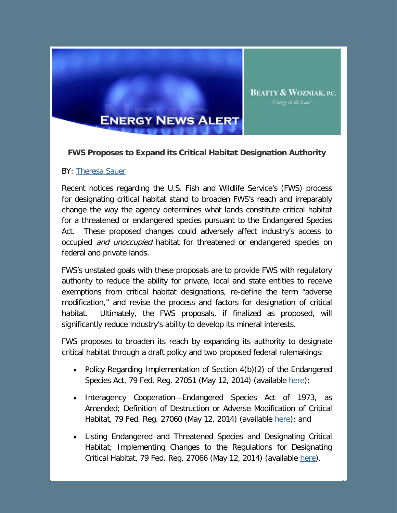

## **FWS Proposes to Expand its Critical Habitat Designation Authority**

**BEATTY & WOZNIAK, P.C.** Energy in the Law'

## BY: [Theresa Sauer](http://www.bwenergylaw.com/Attorneys/TSauer.asp)

Recent notices regarding the U.S. Fish and Wildlife Service's (FWS) process for designating critical habitat stand to broaden FWS's reach and irreparably change the way the agency determines what lands constitute critical habitat for a threatened or endangered species pursuant to the Endangered Species Act. These proposed changes could adversely affect industry's access to occupied *and unoccupied* habitat for threatened or endangered species on federal and private lands.

FWS's unstated goals with these proposals are to provide FWS with regulatory authority to reduce the ability for private, local and state entities to receive exemptions from critical habitat designations, re-define the term "adverse modification," and revise the process and factors for designation of critical habitat. Ultimately, the FWS proposals, if finalized as proposed, will significantly reduce industry's ability to develop its mineral interests.

FWS proposes to broaden its reach by expanding its authority to designate critical habitat through a draft policy and two proposed federal rulemakings:

- Policy Regarding Implementation of Section 4(b)(2) of the Endangered Species Act, 79 Fed. Reg. 27051 (May 12, 2014) (available [here\)](http://www.gpo.gov/fdsys/pkg/FR-2014-05-12/pdf/2014-10502.pdf);
- Interagency Cooperation—Endangered Species Act of 1973, as Amended; Definition of Destruction or Adverse Modification of Critical Habitat, 79 Fed. Reg. 27060 (May 12, 2014) (available [here\)](http://www.gpo.gov/fdsys/pkg/FR-2014-05-12/pdf/2014-10503.pdf); and
- Listing Endangered and Threatened Species and Designating Critical Habitat; Implementing Changes to the Regulations for Designating Critical Habitat, 79 Fed. Reg. 27066 (May 12, 2014) (available [here\)](http://www.gpo.gov/fdsys/pkg/FR-2014-05-12/pdf/2014-10504.pdf).